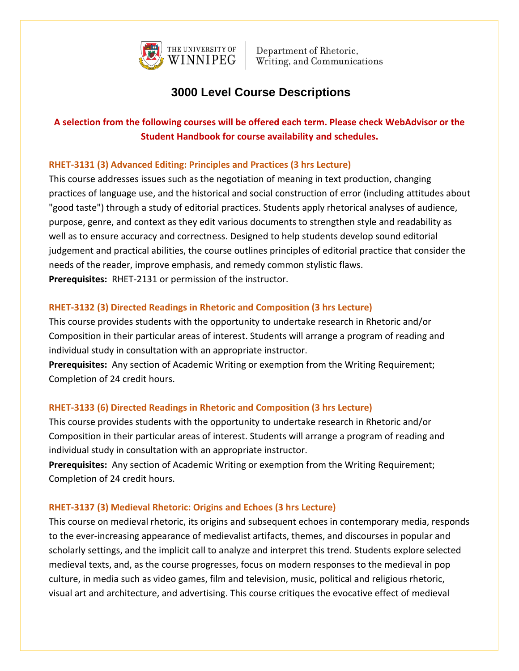

# **3000 Level Course Descriptions**

## **A selection from the following courses will be offered each term. Please check WebAdvisor or the Student Handbook for course availability and schedules.**

## **RHET-3131 (3) Advanced Editing: Principles and Practices (3 hrs Lecture)**

This course addresses issues such as the negotiation of meaning in text production, changing practices of language use, and the historical and social construction of error (including attitudes about "good taste") through a study of editorial practices. Students apply rhetorical analyses of audience, purpose, genre, and context as they edit various documents to strengthen style and readability as well as to ensure accuracy and correctness. Designed to help students develop sound editorial judgement and practical abilities, the course outlines principles of editorial practice that consider the needs of the reader, improve emphasis, and remedy common stylistic flaws. **Prerequisites:** RHET-2131 or permission of the instructor.

#### **RHET-3132 (3) Directed Readings in Rhetoric and Composition (3 hrs Lecture)**

This course provides students with the opportunity to undertake research in Rhetoric and/or Composition in their particular areas of interest. Students will arrange a program of reading and individual study in consultation with an appropriate instructor.

**Prerequisites:** Any section of Academic Writing or exemption from the Writing Requirement; Completion of 24 credit hours.

#### **RHET-3133 (6) Directed Readings in Rhetoric and Composition (3 hrs Lecture)**

This course provides students with the opportunity to undertake research in Rhetoric and/or Composition in their particular areas of interest. Students will arrange a program of reading and individual study in consultation with an appropriate instructor.

**Prerequisites:** Any section of Academic Writing or exemption from the Writing Requirement; Completion of 24 credit hours.

#### **RHET-3137 (3) Medieval Rhetoric: Origins and Echoes (3 hrs Lecture)**

This course on medieval rhetoric, its origins and subsequent echoes in contemporary media, responds to the ever-increasing appearance of medievalist artifacts, themes, and discourses in popular and scholarly settings, and the implicit call to analyze and interpret this trend. Students explore selected medieval texts, and, as the course progresses, focus on modern responses to the medieval in pop culture, in media such as video games, film and television, music, political and religious rhetoric, visual art and architecture, and advertising. This course critiques the evocative effect of medieval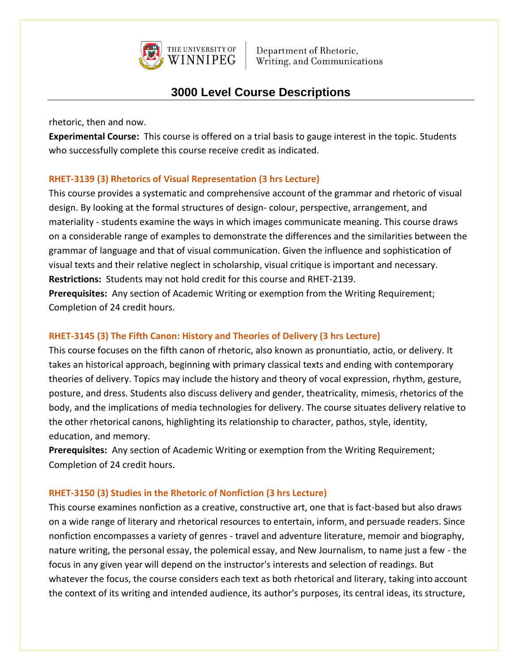

# **3000 Level Course Descriptions**

rhetoric, then and now.

**Experimental Course:** This course is offered on a trial basis to gauge interest in the topic. Students who successfully complete this course receive credit as indicated.

## **RHET-3139 (3) Rhetorics of Visual Representation (3 hrs Lecture)**

This course provides a systematic and comprehensive account of the grammar and rhetoric of visual design. By looking at the formal structures of design- colour, perspective, arrangement, and materiality - students examine the ways in which images communicate meaning. This course draws on a considerable range of examples to demonstrate the differences and the similarities between the grammar of language and that of visual communication. Given the influence and sophistication of visual texts and their relative neglect in scholarship, visual critique is important and necessary. **Restrictions:** Students may not hold credit for this course and RHET-2139.

**Prerequisites:** Any section of Academic Writing or exemption from the Writing Requirement; Completion of 24 credit hours.

## **RHET-3145 (3) The Fifth Canon: History and Theories of Delivery (3 hrs Lecture)**

This course focuses on the fifth canon of rhetoric, also known as pronuntiatio, actio, or delivery. It takes an historical approach, beginning with primary classical texts and ending with contemporary theories of delivery. Topics may include the history and theory of vocal expression, rhythm, gesture, posture, and dress. Students also discuss delivery and gender, theatricality, mimesis, rhetorics of the body, and the implications of media technologies for delivery. The course situates delivery relative to the other rhetorical canons, highlighting its relationship to character, pathos, style, identity, education, and memory.

**Prerequisites:** Any section of Academic Writing or exemption from the Writing Requirement; Completion of 24 credit hours.

## **RHET-3150 (3) Studies in the Rhetoric of Nonfiction (3 hrs Lecture)**

This course examines nonfiction as a creative, constructive art, one that is fact-based but also draws on a wide range of literary and rhetorical resources to entertain, inform, and persuade readers. Since nonfiction encompasses a variety of genres - travel and adventure literature, memoir and biography, nature writing, the personal essay, the polemical essay, and New Journalism, to name just a few - the focus in any given year will depend on the instructor's interests and selection of readings. But whatever the focus, the course considers each text as both rhetorical and literary, taking into account the context of its writing and intended audience, its author's purposes, its central ideas, its structure,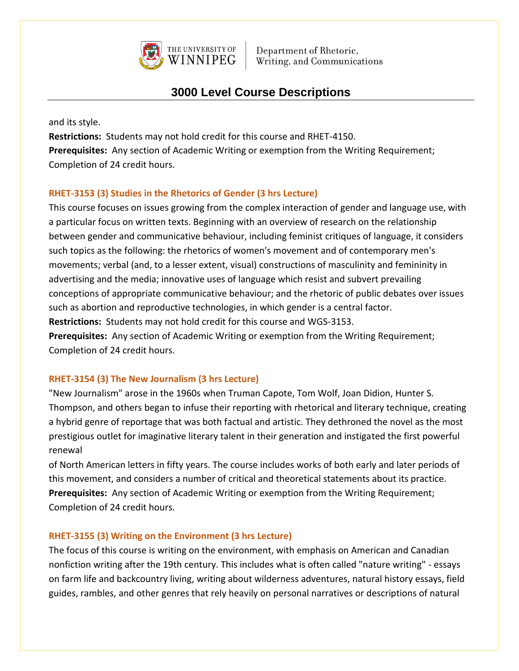

# **3000 Level Course Descriptions**

and its style.

**Restrictions:** Students may not hold credit for this course and RHET-4150. **Prerequisites:** Any section of Academic Writing or exemption from the Writing Requirement; Completion of 24 credit hours.

## **RHET-3153 (3) Studies in the Rhetorics of Gender (3 hrs Lecture)**

This course focuses on issues growing from the complex interaction of gender and language use, with a particular focus on written texts. Beginning with an overview of research on the relationship between gender and communicative behaviour, including feminist critiques of language, it considers such topics as the following: the rhetorics of women's movement and of contemporary men's movements; verbal (and, to a lesser extent, visual) constructions of masculinity and femininity in advertising and the media; innovative uses of language which resist and subvert prevailing conceptions of appropriate communicative behaviour; and the rhetoric of public debates over issues such as abortion and reproductive technologies, in which gender is a central factor. **Restrictions:** Students may not hold credit for this course and WGS-3153. **Prerequisites:** Any section of Academic Writing or exemption from the Writing Requirement; Completion of 24 credit hours.

## **RHET-3154 (3) The New Journalism (3 hrs Lecture)**

"New Journalism" arose in the 1960s when Truman Capote, Tom Wolf, Joan Didion, Hunter S. Thompson, and others began to infuse their reporting with rhetorical and literary technique, creating a hybrid genre of reportage that was both factual and artistic. They dethroned the novel as the most prestigious outlet for imaginative literary talent in their generation and instigated the first powerful renewal

of North American letters in fifty years. The course includes works of both early and later periods of this movement, and considers a number of critical and theoretical statements about its practice. **Prerequisites:** Any section of Academic Writing or exemption from the Writing Requirement; Completion of 24 credit hours.

## **RHET-3155 (3) Writing on the Environment (3 hrs Lecture)**

The focus of this course is writing on the environment, with emphasis on American and Canadian nonfiction writing after the 19th century. This includes what is often called "nature writing" - essays on farm life and backcountry living, writing about wilderness adventures, natural history essays, field guides, rambles, and other genres that rely heavily on personal narratives or descriptions of natural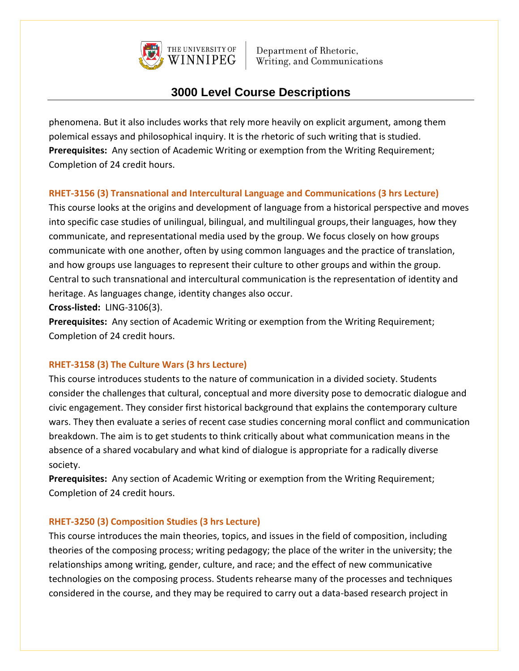

# **3000 Level Course Descriptions**

phenomena. But it also includes works that rely more heavily on explicit argument, among them polemical essays and philosophical inquiry. It is the rhetoric of such writing that is studied. **Prerequisites:** Any section of Academic Writing or exemption from the Writing Requirement; Completion of 24 credit hours.

## **RHET-3156 (3) Transnational and Intercultural Language and Communications (3 hrs Lecture)**

This course looks at the origins and development of language from a historical perspective and moves into specific case studies of unilingual, bilingual, and multilingual groups,their languages, how they communicate, and representational media used by the group. We focus closely on how groups communicate with one another, often by using common languages and the practice of translation, and how groups use languages to represent their culture to other groups and within the group. Central to such transnational and intercultural communication is the representation of identity and heritage. As languages change, identity changes also occur.

**Cross-listed:** LING-3106(3).

**Prerequisites:** Any section of Academic Writing or exemption from the Writing Requirement; Completion of 24 credit hours.

## **RHET-3158 (3) The Culture Wars (3 hrs Lecture)**

This course introduces students to the nature of communication in a divided society. Students consider the challenges that cultural, conceptual and more diversity pose to democratic dialogue and civic engagement. They consider first historical background that explains the contemporary culture wars. They then evaluate a series of recent case studies concerning moral conflict and communication breakdown. The aim is to get students to think critically about what communication means in the absence of a shared vocabulary and what kind of dialogue is appropriate for a radically diverse society.

**Prerequisites:** Any section of Academic Writing or exemption from the Writing Requirement; Completion of 24 credit hours.

## **RHET-3250 (3) Composition Studies (3 hrs Lecture)**

This course introduces the main theories, topics, and issues in the field of composition, including theories of the composing process; writing pedagogy; the place of the writer in the university; the relationships among writing, gender, culture, and race; and the effect of new communicative technologies on the composing process. Students rehearse many of the processes and techniques considered in the course, and they may be required to carry out a data-based research project in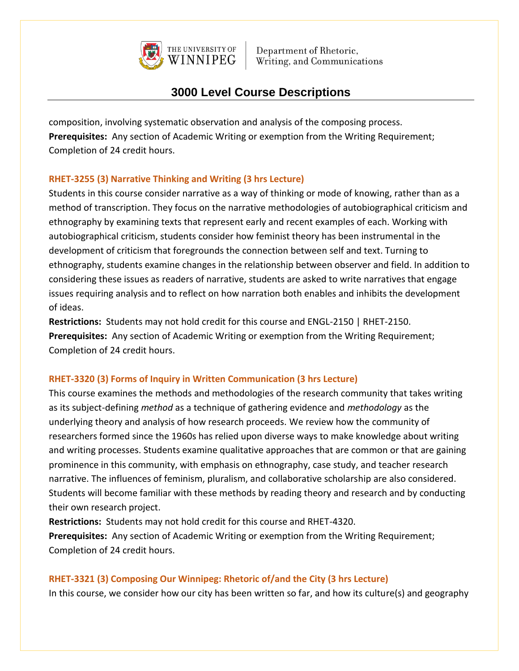

# **3000 Level Course Descriptions**

composition, involving systematic observation and analysis of the composing process. **Prerequisites:** Any section of Academic Writing or exemption from the Writing Requirement; Completion of 24 credit hours.

## **RHET-3255 (3) Narrative Thinking and Writing (3 hrs Lecture)**

Students in this course consider narrative as a way of thinking or mode of knowing, rather than as a method of transcription. They focus on the narrative methodologies of autobiographical criticism and ethnography by examining texts that represent early and recent examples of each. Working with autobiographical criticism, students consider how feminist theory has been instrumental in the development of criticism that foregrounds the connection between self and text. Turning to ethnography, students examine changes in the relationship between observer and field. In addition to considering these issues as readers of narrative, students are asked to write narratives that engage issues requiring analysis and to reflect on how narration both enables and inhibits the development of ideas.

**Restrictions:** Students may not hold credit for this course and ENGL-2150 | RHET-2150. **Prerequisites:** Any section of Academic Writing or exemption from the Writing Requirement; Completion of 24 credit hours.

#### **RHET-3320 (3) Forms of Inquiry in Written Communication (3 hrs Lecture)**

This course examines the methods and methodologies of the research community that takes writing as its subject-defining *method* as a technique of gathering evidence and *methodology* as the underlying theory and analysis of how research proceeds. We review how the community of researchers formed since the 1960s has relied upon diverse ways to make knowledge about writing and writing processes. Students examine qualitative approaches that are common or that are gaining prominence in this community, with emphasis on ethnography, case study, and teacher research narrative. The influences of feminism, pluralism, and collaborative scholarship are also considered. Students will become familiar with these methods by reading theory and research and by conducting their own research project.

**Restrictions:** Students may not hold credit for this course and RHET-4320. **Prerequisites:** Any section of Academic Writing or exemption from the Writing Requirement; Completion of 24 credit hours.

## **RHET-3321 (3) Composing Our Winnipeg: Rhetoric of/and the City (3 hrs Lecture)**

In this course, we consider how our city has been written so far, and how its culture(s) and geography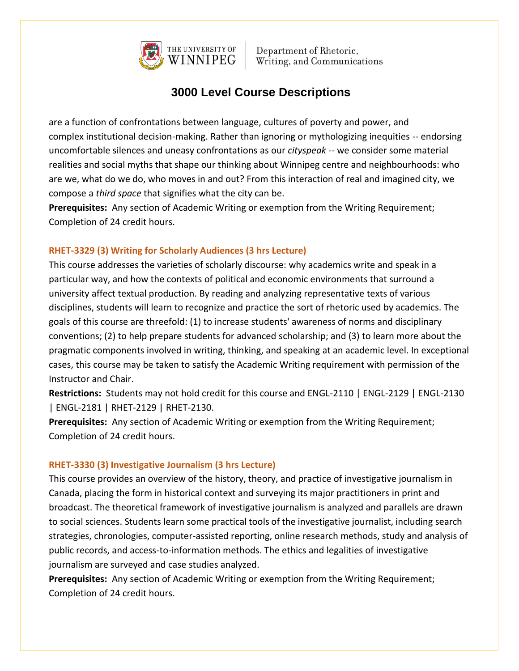

# **3000 Level Course Descriptions**

are a function of confrontations between language, cultures of poverty and power, and complex institutional decision-making. Rather than ignoring or mythologizing inequities -- endorsing uncomfortable silences and uneasy confrontations as our *cityspeak* -- we consider some material realities and social myths that shape our thinking about Winnipeg centre and neighbourhoods: who are we, what do we do, who moves in and out? From this interaction of real and imagined city, we compose a *third space* that signifies what the city can be.

**Prerequisites:** Any section of Academic Writing or exemption from the Writing Requirement; Completion of 24 credit hours.

## **RHET-3329 (3) Writing for Scholarly Audiences (3 hrs Lecture)**

This course addresses the varieties of scholarly discourse: why academics write and speak in a particular way, and how the contexts of political and economic environments that surround a university affect textual production. By reading and analyzing representative texts of various disciplines, students will learn to recognize and practice the sort of rhetoric used by academics. The goals of this course are threefold: (1) to increase students' awareness of norms and disciplinary conventions; (2) to help prepare students for advanced scholarship; and (3) to learn more about the pragmatic components involved in writing, thinking, and speaking at an academic level. In exceptional cases, this course may be taken to satisfy the Academic Writing requirement with permission of the Instructor and Chair.

**Restrictions:** Students may not hold credit for this course and ENGL-2110 | ENGL-2129 | ENGL-2130 | ENGL-2181 | RHET-2129 | RHET-2130.

**Prerequisites:** Any section of Academic Writing or exemption from the Writing Requirement; Completion of 24 credit hours.

## **RHET-3330 (3) Investigative Journalism (3 hrs Lecture)**

This course provides an overview of the history, theory, and practice of investigative journalism in Canada, placing the form in historical context and surveying its major practitioners in print and broadcast. The theoretical framework of investigative journalism is analyzed and parallels are drawn to social sciences. Students learn some practical tools of the investigative journalist, including search strategies, chronologies, computer-assisted reporting, online research methods, study and analysis of public records, and access-to-information methods. The ethics and legalities of investigative journalism are surveyed and case studies analyzed.

**Prerequisites:** Any section of Academic Writing or exemption from the Writing Requirement; Completion of 24 credit hours.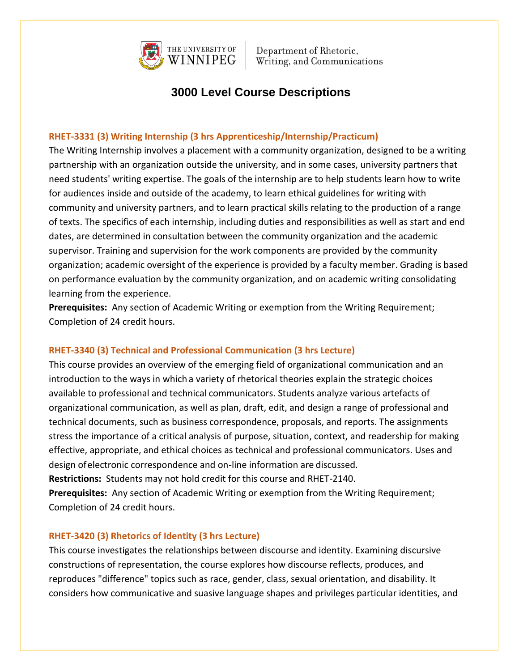

## **3000 Level Course Descriptions**

## **RHET-3331 (3) Writing Internship (3 hrs Apprenticeship/Internship/Practicum)**

The Writing Internship involves a placement with a community organization, designed to be a writing partnership with an organization outside the university, and in some cases, university partners that need students' writing expertise. The goals of the internship are to help students learn how to write for audiences inside and outside of the academy, to learn ethical guidelines for writing with community and university partners, and to learn practical skills relating to the production of a range of texts. The specifics of each internship, including duties and responsibilities as well as start and end dates, are determined in consultation between the community organization and the academic supervisor. Training and supervision for the work components are provided by the community organization; academic oversight of the experience is provided by a faculty member. Grading is based on performance evaluation by the community organization, and on academic writing consolidating learning from the experience.

**Prerequisites:** Any section of Academic Writing or exemption from the Writing Requirement; Completion of 24 credit hours.

#### **RHET-3340 (3) Technical and Professional Communication (3 hrs Lecture)**

This course provides an overview of the emerging field of organizational communication and an introduction to the ways in which a variety of rhetorical theories explain the strategic choices available to professional and technical communicators. Students analyze various artefacts of organizational communication, as well as plan, draft, edit, and design a range of professional and technical documents, such as business correspondence, proposals, and reports. The assignments stress the importance of a critical analysis of purpose, situation, context, and readership for making effective, appropriate, and ethical choices as technical and professional communicators. Uses and design ofelectronic correspondence and on-line information are discussed. **Restrictions:** Students may not hold credit for this course and RHET-2140. **Prerequisites:** Any section of Academic Writing or exemption from the Writing Requirement;

Completion of 24 credit hours.

#### **RHET-3420 (3) Rhetorics of Identity (3 hrs Lecture)**

This course investigates the relationships between discourse and identity. Examining discursive constructions of representation, the course explores how discourse reflects, produces, and reproduces "difference" topics such as race, gender, class, sexual orientation, and disability. It considers how communicative and suasive language shapes and privileges particular identities, and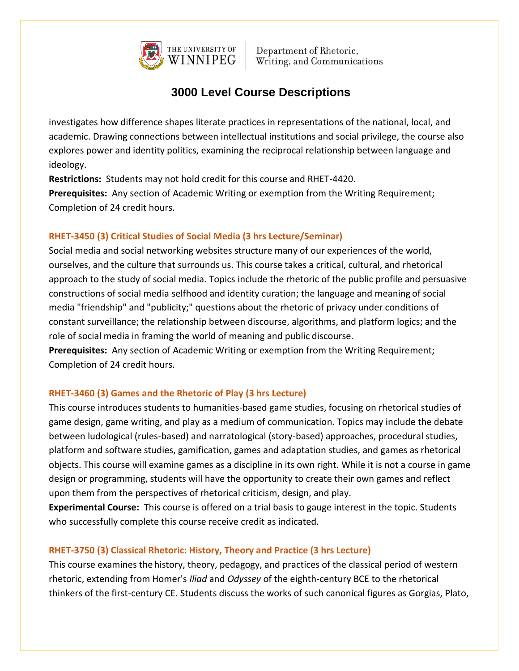

# **3000 Level Course Descriptions**

investigates how difference shapes literate practices in representations of the national, local, and academic. Drawing connections between intellectual institutions and social privilege, the course also explores power and identity politics, examining the reciprocal relationship between language and ideology.

**Restrictions:** Students may not hold credit for this course and RHET-4420. **Prerequisites:** Any section of Academic Writing or exemption from the Writing Requirement; Completion of 24 credit hours.

## **RHET-3450 (3) Critical Studies of Social Media (3 hrs Lecture/Seminar)**

Social media and social networking websites structure many of our experiences of the world, ourselves, and the culture that surrounds us. This course takes a critical, cultural, and rhetorical approach to the study of social media. Topics include the rhetoric of the public profile and persuasive constructions of social media selfhood and identity curation; the language and meaning of social media "friendship" and "publicity;" questions about the rhetoric of privacy under conditions of constant surveillance; the relationship between discourse, algorithms, and platform logics; and the role of social media in framing the world of meaning and public discourse.

**Prerequisites:** Any section of Academic Writing or exemption from the Writing Requirement; Completion of 24 credit hours.

## **RHET-3460 (3) Games and the Rhetoric of Play (3 hrs Lecture)**

This course introduces students to humanities-based game studies, focusing on rhetorical studies of game design, game writing, and play as a medium of communication. Topics may include the debate between ludological (rules-based) and narratological (story-based) approaches, procedural studies, platform and software studies, gamification, games and adaptation studies, and games as rhetorical objects. This course will examine games as a discipline in its own right. While it is not a course in game design or programming, students will have the opportunity to create their own games and reflect upon them from the perspectives of rhetorical criticism, design, and play.

**Experimental Course:** This course is offered on a trial basis to gauge interest in the topic. Students who successfully complete this course receive credit as indicated.

## **RHET-3750 (3) Classical Rhetoric: History, Theory and Practice (3 hrs Lecture)**

This course examines thehistory, theory, pedagogy, and practices of the classical period of western rhetoric, extending from Homer's *Iliad* and *Odyssey* of the eighth-century BCE to the rhetorical thinkers of the first-century CE. Students discuss the works of such canonical figures as Gorgias, Plato,